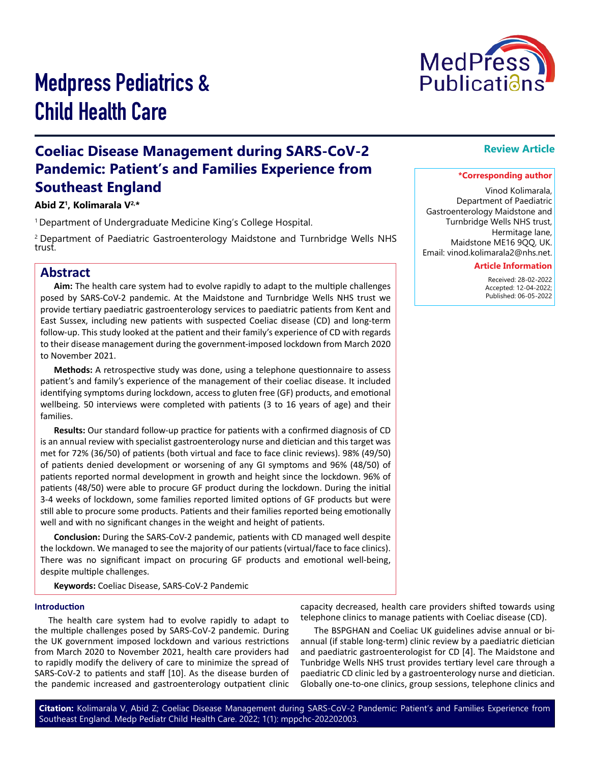

# Medpress Pediatrics & Child Health Care

## **Coeliac Disease Management during SARS-CoV-2 Pandemic: Patient's and Families Experience from Southeast England**

## **Abid Z1, Kolimarala V2,\***

<sup>1</sup> Department of Undergraduate Medicine King's College Hospital.

2 Department of Paediatric Gastroenterology Maidstone and Turnbridge Wells NHS trust.

## **Abstract**

**Aim:** The health care system had to evolve rapidly to adapt to the multiple challenges posed by SARS-CoV-2 pandemic. At the Maidstone and Turnbridge Wells NHS trust we provide tertiary paediatric gastroenterology services to paediatric patients from Kent and East Sussex, including new patients with suspected Coeliac disease (CD) and long-term follow-up. This study looked at the patient and their family's experience of CD with regards to their disease management during the government-imposed lockdown from March 2020 to November 2021.

**Methods:** A retrospective study was done, using a telephone questionnaire to assess patient's and family's experience of the management of their coeliac disease. It included identifying symptoms during lockdown, access to gluten free (GF) products, and emotional wellbeing. 50 interviews were completed with patients (3 to 16 years of age) and their families.

**Results:** Our standard follow-up practice for patients with a confirmed diagnosis of CD is an annual review with specialist gastroenterology nurse and dietician and this target was met for 72% (36/50) of patients (both virtual and face to face clinic reviews). 98% (49/50) of patients denied development or worsening of any GI symptoms and 96% (48/50) of patients reported normal development in growth and height since the lockdown. 96% of patients (48/50) were able to procure GF product during the lockdown. During the initial 3-4 weeks of lockdown, some families reported limited options of GF products but were still able to procure some products. Patients and their families reported being emotionally well and with no significant changes in the weight and height of patients.

**Conclusion:** During the SARS-CoV-2 pandemic, patients with CD managed well despite the lockdown. We managed to see the majority of our patients (virtual/face to face clinics). There was no significant impact on procuring GF products and emotional well-being, despite multiple challenges.

**Keywords:** Coeliac Disease, SARS-CoV-2 Pandemic

#### **Introduction**

The health care system had to evolve rapidly to adapt to the multiple challenges posed by SARS-CoV-2 pandemic. During the UK government imposed lockdown and various restrictions from March 2020 to November 2021, health care providers had to rapidly modify the delivery of care to minimize the spread of SARS-CoV-2 to patients and staff [10]. As the disease burden of the pandemic increased and gastroenterology outpatient clinic capacity decreased, health care providers shifted towards using telephone clinics to manage patients with Coeliac disease (CD).

The BSPGHAN and Coeliac UK guidelines advise annual or biannual (if stable long-term) clinic review by a paediatric dietician and paediatric gastroenterologist for CD [4]. The Maidstone and Tunbridge Wells NHS trust provides tertiary level care through a paediatric CD clinic led by a gastroenterology nurse and dietician. Globally one-to-one clinics, group sessions, telephone clinics and

## **Review Article**

#### **\*Corresponding author**

Vinod Kolimarala, Department of Paediatric Gastroenterology Maidstone and Turnbridge Wells NHS trust, Hermitage lane, Maidstone ME16 9QQ, UK. Email: vinod.kolimarala2@nhs.net.

#### **Article Information**

 Received: 28-02-2022 Accepted: 12-04-2022; Published: 06-05-2022

**Citation:** Kolimarala V, Abid Z; Coeliac Disease Management during SARS-CoV-2 Pandemic: Patient's and Families Experience from Southeast England. Medp Pediatr Child Health Care. 2022; 1(1): mppchc-202202003.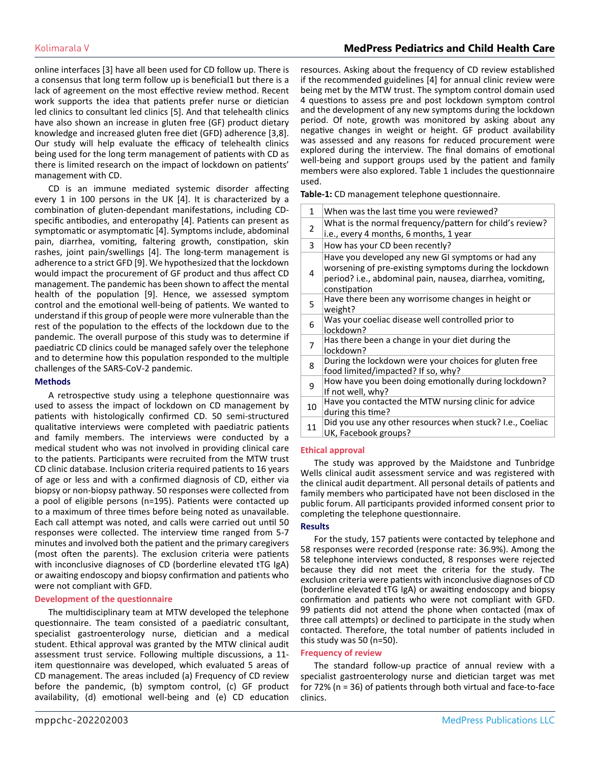## Kolimarala V **MedPress Pediatrics and Child Health Care**

online interfaces [3] have all been used for CD follow up. There is a consensus that long term follow up is beneficial1 but there is a lack of agreement on the most effective review method. Recent work supports the idea that patients prefer nurse or dietician led clinics to consultant led clinics [5]. And that telehealth clinics have also shown an increase in gluten free (GF) product dietary knowledge and increased gluten free diet (GFD) adherence [3,8]. Our study will help evaluate the efficacy of telehealth clinics being used for the long term management of patients with CD as there is limited research on the impact of lockdown on patients' management with CD.

CD is an immune mediated systemic disorder affecting every 1 in 100 persons in the UK [4]. It is characterized by a combination of gluten-dependant manifestations, including CDspecific antibodies, and enteropathy [4]. Patients can present as symptomatic or asymptomatic [4]. Symptoms include, abdominal pain, diarrhea, vomiting, faltering growth, constipation, skin rashes, joint pain/swellings [4]. The long-term management is adherence to a strict GFD [9]. We hypothesized that the lockdown would impact the procurement of GF product and thus affect CD management. The pandemic has been shown to affect the mental health of the population [9]. Hence, we assessed symptom control and the emotional well-being of patients. We wanted to understand if this group of people were more vulnerable than the rest of the population to the effects of the lockdown due to the pandemic. The overall purpose of this study was to determine if paediatric CD clinics could be managed safely over the telephone and to determine how this population responded to the multiple challenges of the SARS-CoV-2 pandemic.

#### **Methods**

A retrospective study using a telephone questionnaire was used to assess the impact of lockdown on CD management by patients with histologically confirmed CD. 50 semi-structured qualitative interviews were completed with paediatric patients and family members. The interviews were conducted by a medical student who was not involved in providing clinical care to the patients. Participants were recruited from the MTW trust CD clinic database. Inclusion criteria required patients to 16 years of age or less and with a confirmed diagnosis of CD, either via biopsy or non-biopsy pathway. 50 responses were collected from a pool of eligible persons (n=195). Patients were contacted up to a maximum of three times before being noted as unavailable. Each call attempt was noted, and calls were carried out until 50 responses were collected. The interview time ranged from 5-7 minutes and involved both the patient and the primary caregivers (most often the parents). The exclusion criteria were patients with inconclusive diagnoses of CD (borderline elevated tTG IgA) or awaiting endoscopy and biopsy confirmation and patients who were not compliant with GFD.

#### **Development of the questionnaire**

The multidisciplinary team at MTW developed the telephone questionnaire. The team consisted of a paediatric consultant, specialist gastroenterology nurse, dietician and a medical student. Ethical approval was granted by the MTW clinical audit assessment trust service. Following multiple discussions, a 11 item questionnaire was developed, which evaluated 5 areas of CD management. The areas included (a) Frequency of CD review before the pandemic, (b) symptom control, (c) GF product availability, (d) emotional well-being and (e) CD education

resources. Asking about the frequency of CD review established if the recommended guidelines [4] for annual clinic review were being met by the MTW trust. The symptom control domain used 4 questions to assess pre and post lockdown symptom control and the development of any new symptoms during the lockdown period. Of note, growth was monitored by asking about any negative changes in weight or height. GF product availability was assessed and any reasons for reduced procurement were explored during the interview. The final domains of emotional well-being and support groups used by the patient and family members were also explored. Table 1 includes the questionnaire used.

**Table-1:** CD management telephone questionnaire.

| 1  | When was the last time you were reviewed?                                                                                                                                                |  |  |  |
|----|------------------------------------------------------------------------------------------------------------------------------------------------------------------------------------------|--|--|--|
| 2  | What is the normal frequency/pattern for child's review?<br>i.e., every 4 months, 6 months, 1 year                                                                                       |  |  |  |
| 3  | How has your CD been recently?                                                                                                                                                           |  |  |  |
| 4  | Have you developed any new GI symptoms or had any<br>worsening of pre-existing symptoms during the lockdown<br>period? i.e., abdominal pain, nausea, diarrhea, vomiting,<br>constipation |  |  |  |
| 5  | Have there been any worrisome changes in height or<br>weight?                                                                                                                            |  |  |  |
| 6  | Was your coeliac disease well controlled prior to<br>lockdown?                                                                                                                           |  |  |  |
| 7  | Has there been a change in your diet during the<br>lockdown?                                                                                                                             |  |  |  |
| 8  | During the lockdown were your choices for gluten free<br>food limited/impacted? If so, why?                                                                                              |  |  |  |
| 9  | How have you been doing emotionally during lockdown?<br>If not well, why?                                                                                                                |  |  |  |
| 10 | Have you contacted the MTW nursing clinic for advice<br>during this time?                                                                                                                |  |  |  |
| 11 | Did you use any other resources when stuck? I.e., Coeliac<br>UK, Facebook groups?                                                                                                        |  |  |  |
|    |                                                                                                                                                                                          |  |  |  |

#### **Ethical approval**

The study was approved by the Maidstone and Tunbridge Wells clinical audit assessment service and was registered with the clinical audit department. All personal details of patients and family members who participated have not been disclosed in the public forum. All participants provided informed consent prior to completing the telephone questionnaire.

#### **Results**

For the study, 157 patients were contacted by telephone and 58 responses were recorded (response rate: 36.9%). Among the 58 telephone interviews conducted, 8 responses were rejected because they did not meet the criteria for the study. The exclusion criteria were patients with inconclusive diagnoses of CD (borderline elevated tTG IgA) or awaiting endoscopy and biopsy confirmation and patients who were not compliant with GFD. 99 patients did not attend the phone when contacted (max of three call attempts) or declined to participate in the study when contacted. Therefore, the total number of patients included in this study was 50 (n=50).

#### **Frequency of review**

The standard follow-up practice of annual review with a specialist gastroenterology nurse and dietician target was met for 72% (n = 36) of patients through both virtual and face-to-face clinics.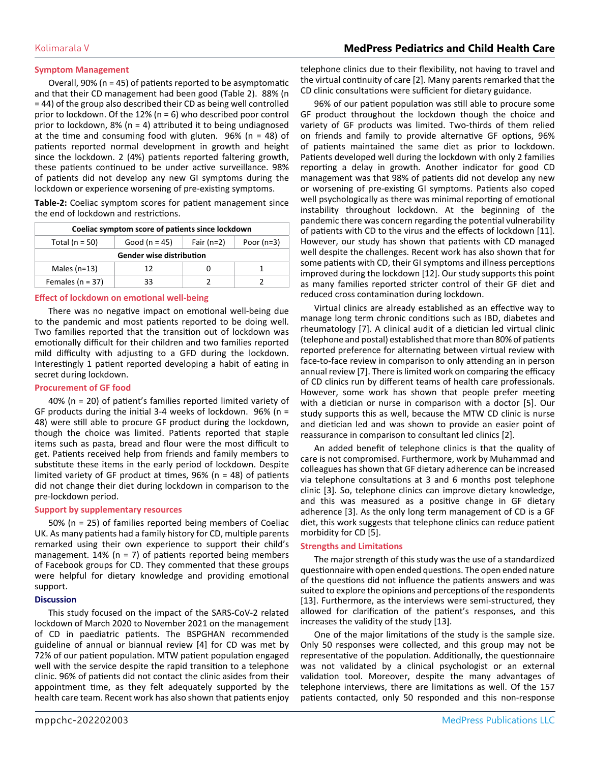#### **Symptom Management**

Overall, 90% (n = 45) of patients reported to be asymptomatic and that their CD management had been good (Table 2). 88% (n = 44) of the group also described their CD as being well controlled prior to lockdown. Of the 12% (n = 6) who described poor control prior to lockdown, 8% ( $n = 4$ ) attributed it to being undiagnosed at the time and consuming food with gluten.  $96\%$  (n = 48) of patients reported normal development in growth and height since the lockdown. 2 (4%) patients reported faltering growth, these patients continued to be under active surveillance. 98% of patients did not develop any new GI symptoms during the lockdown or experience worsening of pre-existing symptoms.

**Table-2:** Coeliac symptom scores for patient management since the end of lockdown and restrictions.

| Coeliac symptom score of patients since lockdown |                 |              |              |  |  |
|--------------------------------------------------|-----------------|--------------|--------------|--|--|
| Total ( $n = 50$ )                               | Good $(n = 45)$ | Fair $(n=2)$ | Poor $(n=3)$ |  |  |
| <b>Gender wise distribution</b>                  |                 |              |              |  |  |
| Males $(n=13)$                                   | 12              |              |              |  |  |
| Females ( $n = 37$ )                             | 33              |              |              |  |  |

#### **Effect of lockdown on emotional well-being**

There was no negative impact on emotional well-being due to the pandemic and most patients reported to be doing well. Two families reported that the transition out of lockdown was emotionally difficult for their children and two families reported mild difficulty with adjusting to a GFD during the lockdown. Interestingly 1 patient reported developing a habit of eating in secret during lockdown.

#### **Procurement of GF food**

40% (n = 20) of patient's families reported limited variety of GF products during the initial 3-4 weeks of lockdown. 96% ( $n =$ 48) were still able to procure GF product during the lockdown, though the choice was limited. Patients reported that staple items such as pasta, bread and flour were the most difficult to get. Patients received help from friends and family members to substitute these items in the early period of lockdown. Despite limited variety of GF product at times, 96% (n = 48) of patients did not change their diet during lockdown in comparison to the pre-lockdown period.

#### **Support by supplementary resources**

50% (n = 25) of families reported being members of Coeliac UK. As many patients had a family history for CD, multiple parents remarked using their own experience to support their child's management.  $14\%$  (n = 7) of patients reported being members of Facebook groups for CD. They commented that these groups were helpful for dietary knowledge and providing emotional support.

#### **Discussion**

This study focused on the impact of the SARS-CoV-2 related lockdown of March 2020 to November 2021 on the management of CD in paediatric patients. The BSPGHAN recommended guideline of annual or biannual review [4] for CD was met by 72% of our patient population. MTW patient population engaged well with the service despite the rapid transition to a telephone clinic. 96% of patients did not contact the clinic asides from their appointment time, as they felt adequately supported by the health care team. Recent work has also shown that patients enjoy

telephone clinics due to their flexibility, not having to travel and the virtual continuity of care [2]. Many parents remarked that the CD clinic consultations were sufficient for dietary guidance.

96% of our patient population was still able to procure some GF product throughout the lockdown though the choice and variety of GF products was limited. Two-thirds of them relied on friends and family to provide alternative GF options, 96% of patients maintained the same diet as prior to lockdown. Patients developed well during the lockdown with only 2 families reporting a delay in growth. Another indicator for good CD management was that 98% of patients did not develop any new or worsening of pre-existing GI symptoms. Patients also coped well psychologically as there was minimal reporting of emotional instability throughout lockdown. At the beginning of the pandemic there was concern regarding the potential vulnerability of patients with CD to the virus and the effects of lockdown [11]. However, our study has shown that patients with CD managed well despite the challenges. Recent work has also shown that for some patients with CD, their GI symptoms and illness perceptions improved during the lockdown [12]. Our study supports this point as many families reported stricter control of their GF diet and reduced cross contamination during lockdown.

Virtual clinics are already established as an effective way to manage long term chronic conditions such as IBD, diabetes and rheumatology [7]. A clinical audit of a dietician led virtual clinic (telephone and postal) established that more than 80% of patients reported preference for alternating between virtual review with face-to-face review in comparison to only attending an in person annual review [7]. There is limited work on comparing the efficacy of CD clinics run by different teams of health care professionals. However, some work has shown that people prefer meeting with a dietician or nurse in comparison with a doctor [5]. Our study supports this as well, because the MTW CD clinic is nurse and dietician led and was shown to provide an easier point of reassurance in comparison to consultant led clinics [2].

An added benefit of telephone clinics is that the quality of care is not compromised. Furthermore, work by Muhammad and colleagues has shown that GF dietary adherence can be increased via telephone consultations at 3 and 6 months post telephone clinic [3]. So, telephone clinics can improve dietary knowledge, and this was measured as a positive change in GF dietary adherence [3]. As the only long term management of CD is a GF diet, this work suggests that telephone clinics can reduce patient morbidity for CD [5].

#### **Strengths and Limitations**

The major strength of this study was the use of a standardized questionnaire with open ended questions. The open ended nature of the questions did not influence the patients answers and was suited to explore the opinions and perceptions of the respondents [13]. Furthermore, as the interviews were semi-structured, they allowed for clarification of the patient's responses, and this increases the validity of the study [13].

One of the major limitations of the study is the sample size. Only 50 responses were collected, and this group may not be representative of the population. Additionally, the questionnaire was not validated by a clinical psychologist or an external validation tool. Moreover, despite the many advantages of telephone interviews, there are limitations as well. Of the 157 patients contacted, only 50 responded and this non-response